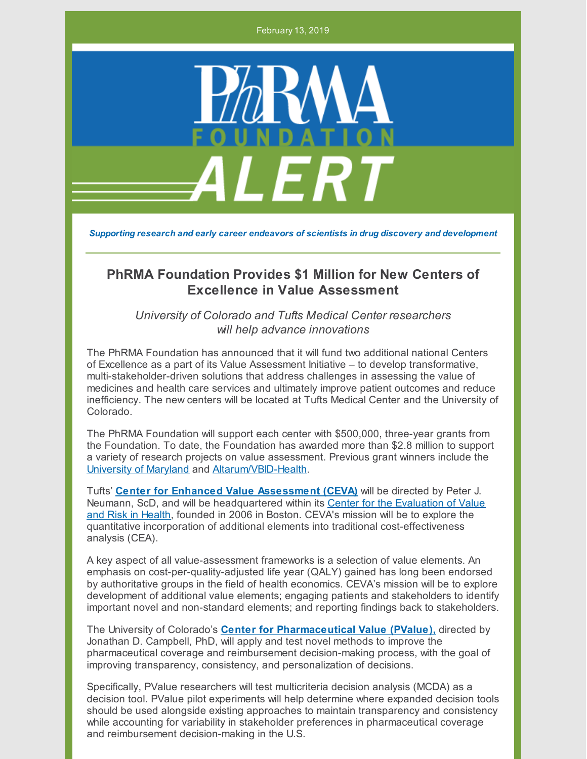February 13, 2019



*Supporting research and early career endeavors of scientists in drug discovery and development*

## **PhRMA Foundation Provides \$1 Million for New Centers of Excellence in Value Assessment**

*University of Colorado and Tufts Medical Center researchers will help advance innovations*

The PhRMA Foundation has announced that it will fund two additional national Centers of Excellence as a part of its Value Assessment Initiative – to develop transformative, multi-stakeholder-driven solutions that address challenges in assessing the value of medicines and health care services and ultimately improve patient outcomes and reduce inefficiency. The new centers will be located at Tufts Medical Center and the University of Colorado.

The PhRMA Foundation will support each center with \$500,000, three-year grants from the Foundation. To date, the Foundation has awarded more than \$2.8 million to support a variety of research projects on value assessment. Previous grant winners include the [University](https://www.pharmacy.umaryland.edu/centers/patient-driven-values-healthcare-evaluation-pave/) of Maryland and [Altarum/VBID-Health](https://www.hcvalueassessment.org/).

Tufts' **Center for Enhanced Value [Assessment](https://cevr.tuftsmedicalcenter.org/news/2019/ceva) (CEVA)** will be directed by Peter J. Neumann, ScD, and will be [headquartered](https://cevr.tuftsmedicalcenter.org/) within its Center for the Evaluation of Value and Risk in Health, founded in 2006 in Boston. CEVA's mission will be to explore the quantitative incorporation of additional elements into traditional cost-effectiveness analysis (CEA).

A key aspect of all value-assessment frameworks is a selection of value elements. An emphasis on cost-per-quality-adjusted life year (QALY) gained has long been endorsed by authoritative groups in the field of health economics. CEVA's mission will be to explore development of additional value elements; engaging patients and stakeholders to identify important novel and non-standard elements; and reporting findings back to stakeholders.

The University of Colorado's **Center for [Pharmaceutical](https://www.cuanschutztoday.org/cu-anschutz-investigators-receive-phrma-foundation-award/) Value (PValue),** directed by Jonathan D. Campbell, PhD, will apply and test novel methods to improve the pharmaceutical coverage and reimbursement decision-making process, with the goal of improving transparency, consistency, and personalization of decisions.

Specifically, PValue researchers will test multicriteria decision analysis (MCDA) as a decision tool. PValue pilot experiments will help determine where expanded decision tools should be used alongside existing approaches to maintain transparency and consistency while accounting for variability in stakeholder preferences in pharmaceutical coverage and reimbursement decision-making in the U.S.